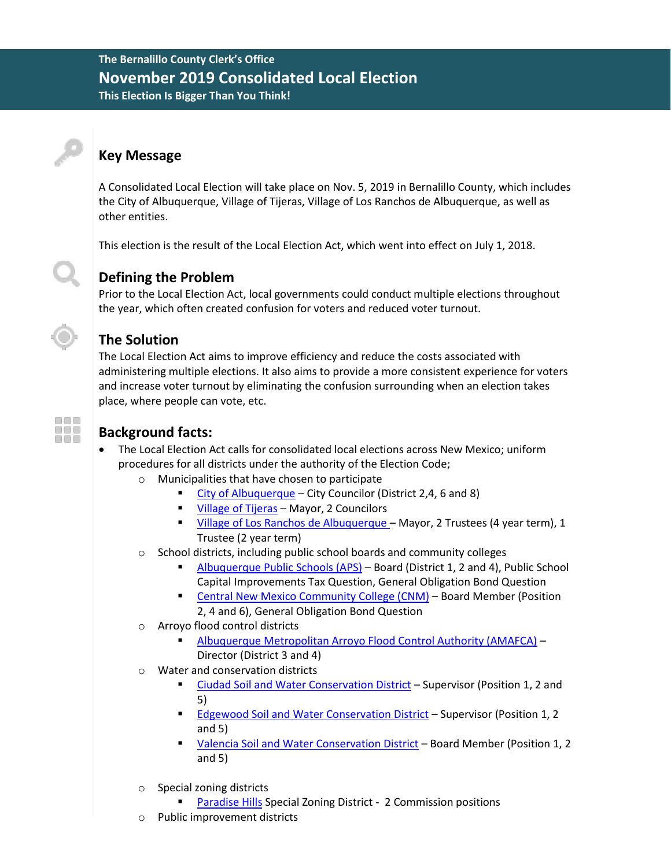# **The Bernalillo County Clerk's Office November 2019 Consolidated Local Election This Election Is Bigger Than You Think!**

# **Key Message**

A Consolidated Local Election will take place on Nov. 5, 2019 in Bernalillo County, which includes the City of Albuquerque, Village of Tijeras, Village of Los Ranchos de Albuquerque, as well as other entities.

This election is the result of the Local Election Act, which went into effect on July 1, 2018.

## **Defining the Problem**

Prior to the Local Election Act, local governments could conduct multiple elections throughout the year, which often created confusion for voters and reduced voter turnout.

### **The Solution**

**COLOR COLOR** 8 8 8 The Local Election Act aims to improve efficiency and reduce the costs associated with administering multiple elections. It also aims to provide a more consistent experience for voters and increase voter turnout by eliminating the confusion surrounding when an election takes place, where people can vote, etc.

### **Background facts:**

- The Local Election Act calls for consolidated local elections across New Mexico; uniform procedures for all districts under the authority of the Election Code;
	- o Municipalities that have chosen to participate
		- [City of Albuquerque](https://www.cabq.gov/vote/election-information) City Councilor (District 2,4, 6 and 8)
		- [Village of Tijeras](http://www.tijerasnm.org/) Mayor, 2 Councilors
		- [Village of Los Ranchos de Albuquerque](http://losranchosnm.gov/)  Mayor, 2 Trustees (4 year term), 1 Trustee (2 year term)
	- o School districts, including public school boards and community colleges
		- [Albuquerque Public Schools \(APS\)](https://www.aps.edu/) Board (District 1, 2 and 4), Public School Capital Improvements Tax Question, General Obligation Bond Question
		- [Central New Mexico Community College \(CNM\)](https://www.aps.edu/) Board Member (Position 2, 4 and 6), General Obligation Bond Question
	- o Arroyo flood control districts
		- [Albuquerque Metropolitan Arroyo Flood Control Authority \(AMAFCA\)](http://www.amafca.org/) Director (District 3 and 4)
	- o Water and conservation districts
		- [Ciudad Soil and Water Conservation District](http://www.ciudadswcd.org/) Supervisor (Position 1, 2 and 5)
		- **[Edgewood Soil and Water Conservation District](https://www.eswcd.org/) Supervisor (Position 1, 2** and 5)
		- [Valencia Soil and Water Conservation District](https://www.valenciaswcd.org/) Board Member (Position 1, 2 and 5)
	- o Special zoning districts
		- [Paradise Hills](https://www.bernco.gov/planning/paradise-hills-special-zoning-district-.aspx) Special Zoning District 2 Commission positions
	- Public improvement districts